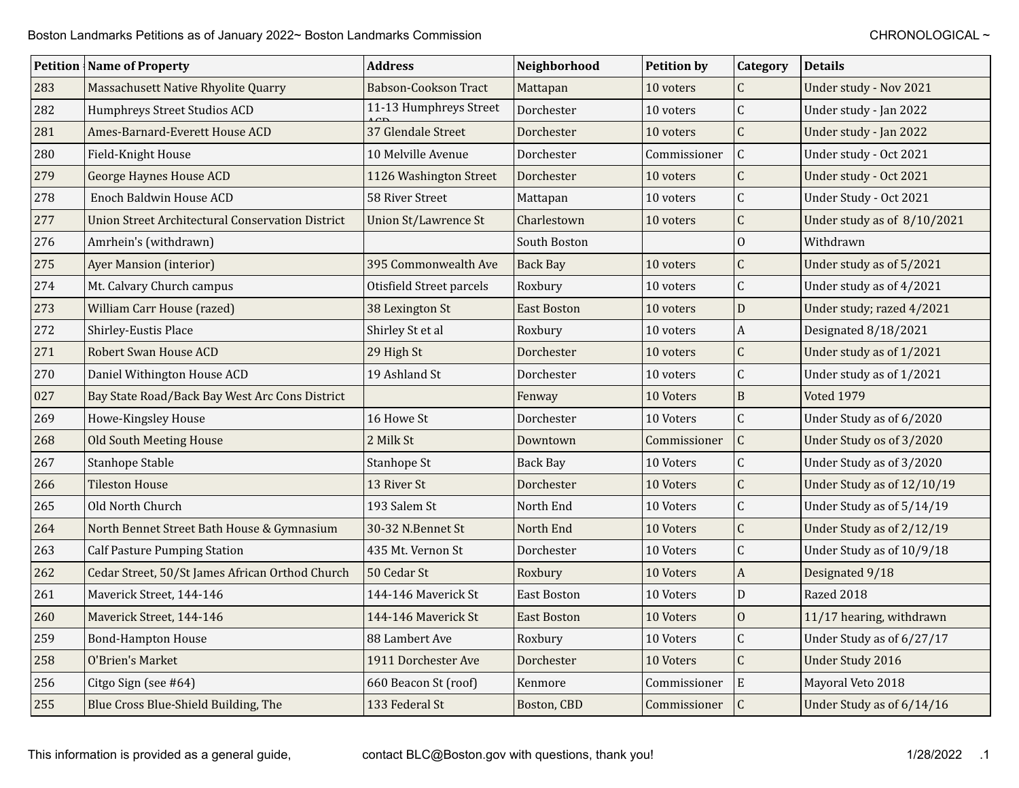|     | <b>Petition Name of Property</b>                        | <b>Address</b>              | Neighborhood       | <b>Petition by</b> | Category         | <b>Details</b>              |
|-----|---------------------------------------------------------|-----------------------------|--------------------|--------------------|------------------|-----------------------------|
| 283 | Massachusett Native Rhyolite Quarry                     | <b>Babson-Cookson Tract</b> | Mattapan           | 10 voters          | $\overline{C}$   | Under study - Nov 2021      |
| 282 | Humphreys Street Studios ACD                            | 11-13 Humphreys Street      | Dorchester         | 10 voters          | $\mathsf C$      | Under study - Jan 2022      |
| 281 | Ames-Barnard-Everett House ACD                          | 37 Glendale Street          | Dorchester         | 10 voters          | $\mathsf{C}$     | Under study - Jan 2022      |
| 280 | Field-Knight House                                      | 10 Melville Avenue          | Dorchester         | Commissioner       | $\mathsf C$      | Under study - Oct 2021      |
| 279 | <b>George Haynes House ACD</b>                          | 1126 Washington Street      | Dorchester         | 10 voters          | $\overline{C}$   | Under study - Oct 2021      |
| 278 | Enoch Baldwin House ACD                                 | 58 River Street             | Mattapan           | 10 voters          | $\mathsf C$      | Under Study - Oct 2021      |
| 277 | <b>Union Street Architectural Conservation District</b> | Union St/Lawrence St        | Charlestown        | 10 voters          | $\overline{C}$   | Under study as of 8/10/2021 |
| 276 | Amrhein's (withdrawn)                                   |                             | South Boston       |                    | $\overline{0}$   | Withdrawn                   |
| 275 | <b>Ayer Mansion (interior)</b>                          | 395 Commonwealth Ave        | <b>Back Bay</b>    | 10 voters          | $\overline{C}$   | Under study as of 5/2021    |
| 274 | Mt. Calvary Church campus                               | Otisfield Street parcels    | Roxbury            | 10 voters          | $\mathsf C$      | Under study as of 4/2021    |
| 273 | William Carr House (razed)                              | 38 Lexington St             | <b>East Boston</b> | 10 voters          | D                | Under study; razed 4/2021   |
| 272 | Shirley-Eustis Place                                    | Shirley St et al            | Roxbury            | 10 voters          | $\boldsymbol{A}$ | Designated 8/18/2021        |
| 271 | Robert Swan House ACD                                   | 29 High St                  | Dorchester         | 10 voters          | $\mathsf C$      | Under study as of 1/2021    |
| 270 | Daniel Withington House ACD                             | 19 Ashland St               | Dorchester         | 10 voters          | $\mathsf C$      | Under study as of 1/2021    |
| 027 | Bay State Road/Back Bay West Arc Cons District          |                             | Fenway             | 10 Voters          | $\, {\bf B}$     | <b>Voted 1979</b>           |
| 269 | Howe-Kingsley House                                     | 16 Howe St                  | Dorchester         | 10 Voters          | $\mathsf C$      | Under Study as of 6/2020    |
| 268 | Old South Meeting House                                 | 2 Milk St                   | Downtown           | Commissioner       | $\mathsf C$      | Under Study os of 3/2020    |
| 267 | Stanhope Stable                                         | Stanhope St                 | Back Bay           | 10 Voters          | $\mathsf C$      | Under Study as of 3/2020    |
| 266 | <b>Tileston House</b>                                   | 13 River St                 | Dorchester         | 10 Voters          | $\mathsf{C}$     | Under Study as of 12/10/19  |
| 265 | Old North Church                                        | 193 Salem St                | North End          | 10 Voters          | $\mathsf C$      | Under Study as of 5/14/19   |
| 264 | North Bennet Street Bath House & Gymnasium              | 30-32 N.Bennet St           | North End          | 10 Voters          | $\mathsf{C}$     | Under Study as of 2/12/19   |
| 263 | <b>Calf Pasture Pumping Station</b>                     | 435 Mt. Vernon St           | Dorchester         | 10 Voters          | $\mathsf C$      | Under Study as of 10/9/18   |
| 262 | Cedar Street, 50/St James African Orthod Church         | 50 Cedar St                 | Roxbury            | 10 Voters          | $\mathbf{A}$     | Designated 9/18             |
| 261 | Maverick Street, 144-146                                | 144-146 Maverick St         | East Boston        | 10 Voters          | D                | Razed 2018                  |
| 260 | Maverick Street, 144-146                                | 144-146 Maverick St         | <b>East Boston</b> | 10 Voters          | $\overline{0}$   | 11/17 hearing, withdrawn    |
| 259 | <b>Bond-Hampton House</b>                               | 88 Lambert Ave              | Roxbury            | 10 Voters          | $\mathsf C$      | Under Study as of 6/27/17   |
| 258 | O'Brien's Market                                        | 1911 Dorchester Ave         | Dorchester         | 10 Voters          | $\mathsf{C}$     | Under Study 2016            |
| 256 | Citgo Sign (see #64)                                    | 660 Beacon St (roof)        | Kenmore            | Commissioner       | $\mathbf E$      | Mayoral Veto 2018           |
| 255 | Blue Cross Blue-Shield Building, The                    | 133 Federal St              | Boston, CBD        | Commissioner       | $\mathsf C$      | Under Study as of 6/14/16   |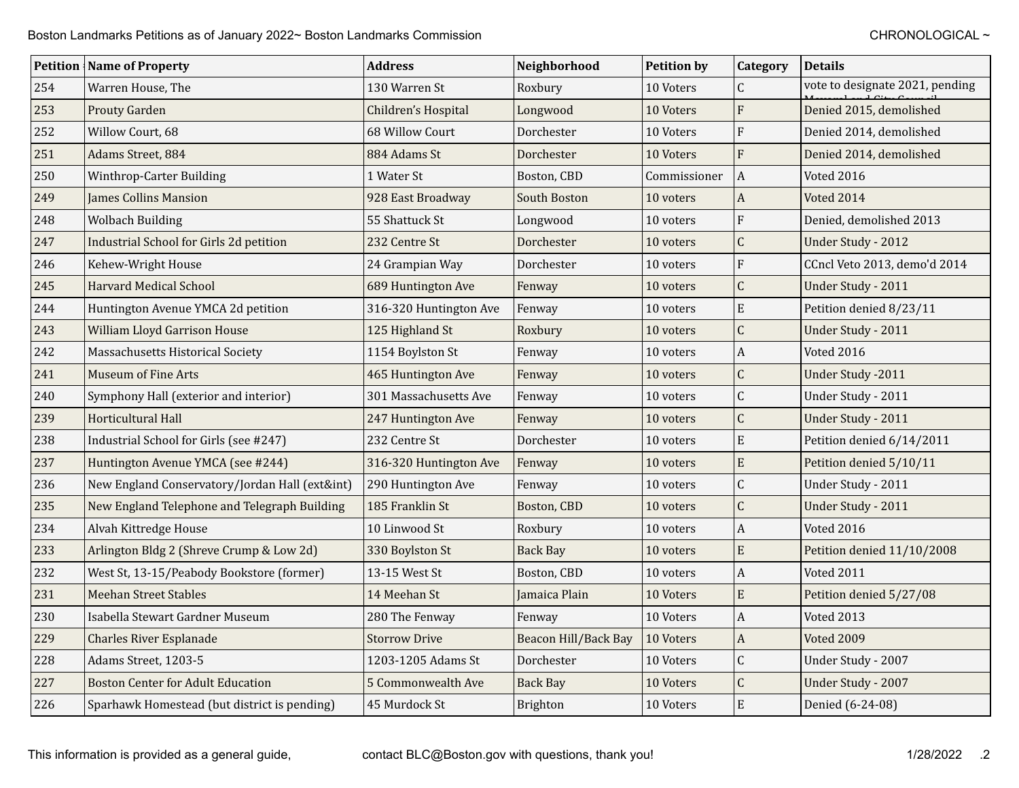|     | <b>Petition   Name of Property</b>             | Address                | Neighborhood         | <b>Petition by</b> | Category         | <b>Details</b>                  |
|-----|------------------------------------------------|------------------------|----------------------|--------------------|------------------|---------------------------------|
| 254 | Warren House, The                              | 130 Warren St          | Roxbury              | 10 Voters          | $\mathsf{C}$     | vote to designate 2021, pending |
| 253 | Prouty Garden                                  | Children's Hospital    | Longwood             | 10 Voters          | F                | Denied 2015, demolished         |
| 252 | Willow Court, 68                               | 68 Willow Court        | Dorchester           | 10 Voters          | F                | Denied 2014, demolished         |
| 251 | Adams Street, 884                              | 884 Adams St           | Dorchester           | 10 Voters          | $\overline{F}$   | Denied 2014, demolished         |
| 250 | Winthrop-Carter Building                       | 1 Water St             | Boston, CBD          | Commissioner       | $\overline{A}$   | Voted 2016                      |
| 249 | <b>James Collins Mansion</b>                   | 928 East Broadway      | South Boston         | 10 voters          | $\boldsymbol{A}$ | Voted 2014                      |
| 248 | <b>Wolbach Building</b>                        | 55 Shattuck St         | Longwood             | 10 voters          | $\overline{F}$   | Denied, demolished 2013         |
| 247 | <b>Industrial School for Girls 2d petition</b> | 232 Centre St          | Dorchester           | 10 voters          | $\overline{C}$   | Under Study - 2012              |
| 246 | Kehew-Wright House                             | 24 Grampian Way        | Dorchester           | 10 voters          | F                | CCncl Veto 2013, demo'd 2014    |
| 245 | <b>Harvard Medical School</b>                  | 689 Huntington Ave     | Fenway               | 10 voters          | $\overline{C}$   | Under Study - 2011              |
| 244 | Huntington Avenue YMCA 2d petition             | 316-320 Huntington Ave | Fenway               | 10 voters          | $\mathbf E$      | Petition denied 8/23/11         |
| 243 | <b>William Lloyd Garrison House</b>            | 125 Highland St        | Roxbury              | 10 voters          | $\overline{C}$   | Under Study - 2011              |
| 242 | Massachusetts Historical Society               | 1154 Boylston St       | Fenway               | 10 voters          | $\boldsymbol{A}$ | <b>Voted 2016</b>               |
| 241 | Museum of Fine Arts                            | 465 Huntington Ave     | Fenway               | 10 voters          | Ċ                | <b>Under Study -2011</b>        |
| 240 | Symphony Hall (exterior and interior)          | 301 Massachusetts Ave  | Fenway               | 10 voters          | Ċ                | Under Study - 2011              |
| 239 | Horticultural Hall                             | 247 Huntington Ave     | Fenway               | 10 voters          | $\overline{C}$   | Under Study - 2011              |
| 238 | Industrial School for Girls (see #247)         | 232 Centre St          | Dorchester           | 10 voters          | $\mathbf E$      | Petition denied 6/14/2011       |
| 237 | Huntington Avenue YMCA (see #244)              | 316-320 Huntington Ave | Fenway               | 10 voters          | $\mathbf E$      | Petition denied 5/10/11         |
| 236 | New England Conservatory/Jordan Hall (ext∫)    | 290 Huntington Ave     | Fenway               | 10 voters          | Ċ                | Under Study - 2011              |
| 235 | New England Telephone and Telegraph Building   | 185 Franklin St        | Boston, CBD          | 10 voters          | Ċ                | Under Study - 2011              |
| 234 | Alvah Kittredge House                          | 10 Linwood St          | Roxbury              | 10 voters          | A                | Voted 2016                      |
| 233 | Arlington Bldg 2 (Shreve Crump & Low 2d)       | 330 Boylston St        | <b>Back Bay</b>      | 10 voters          | $\mathbf E$      | Petition denied 11/10/2008      |
| 232 | West St, 13-15/Peabody Bookstore (former)      | 13-15 West St          | Boston, CBD          | 10 voters          | $\boldsymbol{A}$ | Voted 2011                      |
| 231 | <b>Meehan Street Stables</b>                   | 14 Meehan St           | Jamaica Plain        | 10 Voters          | ${\bf E}$        | Petition denied 5/27/08         |
| 230 | Isabella Stewart Gardner Museum                | 280 The Fenway         | Fenway               | 10 Voters          | A                | Voted 2013                      |
| 229 | <b>Charles River Esplanade</b>                 | <b>Storrow Drive</b>   | Beacon Hill/Back Bay | 10 Voters          | $\boldsymbol{A}$ | Voted 2009                      |
| 228 | Adams Street, 1203-5                           | 1203-1205 Adams St     | Dorchester           | 10 Voters          | Ċ                | Under Study - 2007              |
| 227 | Boston Center for Adult Education              | 5 Commonwealth Ave     | <b>Back Bay</b>      | 10 Voters          | Ċ                | Under Study - 2007              |
| 226 | Sparhawk Homestead (but district is pending)   | 45 Murdock St          | <b>Brighton</b>      | 10 Voters          | E                | Denied (6-24-08)                |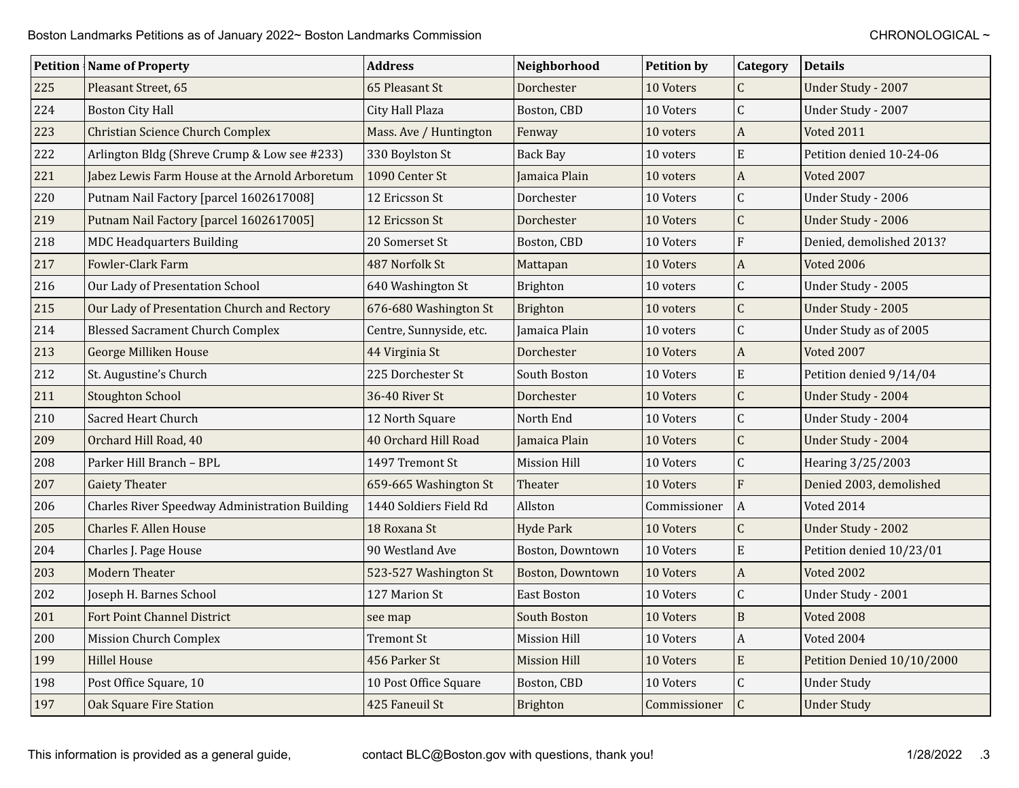|     | <b>Petition   Name of Property</b>             | <b>Address</b>          | Neighborhood        | <b>Petition by</b> | Category       | <b>Details</b>             |
|-----|------------------------------------------------|-------------------------|---------------------|--------------------|----------------|----------------------------|
| 225 | Pleasant Street, 65                            | 65 Pleasant St          | Dorchester          | 10 Voters          | $\mathsf C$    | Under Study - 2007         |
| 224 | <b>Boston City Hall</b>                        | City Hall Plaza         | Boston, CBD         | 10 Voters          | $\mathsf{C}$   | Under Study - 2007         |
| 223 | <b>Christian Science Church Complex</b>        | Mass. Ave / Huntington  | Fenway              | 10 voters          | A              | <b>Voted 2011</b>          |
| 222 | Arlington Bldg (Shreve Crump & Low see #233)   | 330 Boylston St         | Back Bay            | 10 voters          | E              | Petition denied 10-24-06   |
| 221 | Jabez Lewis Farm House at the Arnold Arboretum | 1090 Center St          | Jamaica Plain       | 10 voters          | A              | Voted 2007                 |
| 220 | Putnam Nail Factory [parcel 1602617008]        | 12 Ericsson St          | Dorchester          | 10 Voters          | C              | Under Study - 2006         |
| 219 | Putnam Nail Factory [parcel 1602617005]        | 12 Ericsson St          | Dorchester          | 10 Voters          | $\overline{C}$ | Under Study - 2006         |
| 218 | <b>MDC Headquarters Building</b>               | 20 Somerset St          | Boston, CBD         | 10 Voters          | $\overline{F}$ | Denied, demolished 2013?   |
| 217 | Fowler-Clark Farm                              | 487 Norfolk St          | Mattapan            | 10 Voters          | A              | <b>Voted 2006</b>          |
| 216 | Our Lady of Presentation School                | 640 Washington St       | Brighton            | 10 voters          | C              | Under Study - 2005         |
| 215 | Our Lady of Presentation Church and Rectory    | 676-680 Washington St   | Brighton            | 10 voters          | C              | Under Study - 2005         |
| 214 | <b>Blessed Sacrament Church Complex</b>        | Centre, Sunnyside, etc. | Jamaica Plain       | 10 voters          | $\overline{C}$ | Under Study as of 2005     |
| 213 | <b>George Milliken House</b>                   | 44 Virginia St          | Dorchester          | 10 Voters          | A              | Voted 2007                 |
| 212 | St. Augustine's Church                         | 225 Dorchester St       | South Boston        | 10 Voters          | E              | Petition denied 9/14/04    |
| 211 | <b>Stoughton School</b>                        | 36-40 River St          | Dorchester          | 10 Voters          | C              | Under Study - 2004         |
| 210 | <b>Sacred Heart Church</b>                     | 12 North Square         | North End           | 10 Voters          | C              | Under Study - 2004         |
| 209 | Orchard Hill Road, 40                          | 40 Orchard Hill Road    | Jamaica Plain       | 10 Voters          | Ċ              | Under Study - 2004         |
| 208 | Parker Hill Branch – BPL                       | 1497 Tremont St         | <b>Mission Hill</b> | 10 Voters          | Ċ              | Hearing 3/25/2003          |
| 207 | <b>Gaiety Theater</b>                          | 659-665 Washington St   | Theater             | 10 Voters          | $\overline{F}$ | Denied 2003, demolished    |
| 206 | Charles River Speedway Administration Building | 1440 Soldiers Field Rd  | Allston             | Commissioner       | $\mathbf{A}$   | Voted 2014                 |
| 205 | <b>Charles F. Allen House</b>                  | 18 Roxana St            | <b>Hyde Park</b>    | 10 Voters          | $\mathsf C$    | Under Study - 2002         |
| 204 | Charles J. Page House                          | 90 Westland Ave         | Boston, Downtown    | 10 Voters          | E              | Petition denied 10/23/01   |
| 203 | <b>Modern Theater</b>                          | 523-527 Washington St   | Boston, Downtown    | 10 Voters          | A              | <b>Voted 2002</b>          |
| 202 | Joseph H. Barnes School                        | 127 Marion St           | <b>East Boston</b>  | 10 Voters          | Ċ              | Under Study - 2001         |
| 201 | <b>Fort Point Channel District</b>             | see map                 | South Boston        | 10 Voters          | $\overline{B}$ | Voted 2008                 |
| 200 | Mission Church Complex                         | Tremont St              | <b>Mission Hill</b> | 10 Voters          | A              | Voted 2004                 |
| 199 | <b>Hillel House</b>                            | 456 Parker St           | <b>Mission Hill</b> | 10 Voters          | E              | Petition Denied 10/10/2000 |
| 198 | Post Office Square, 10                         | 10 Post Office Square   | Boston, CBD         | 10 Voters          | C              | <b>Under Study</b>         |
| 197 | <b>Oak Square Fire Station</b>                 | 425 Faneuil St          | Brighton            | Commissioner       | $\overline{C}$ | <b>Under Study</b>         |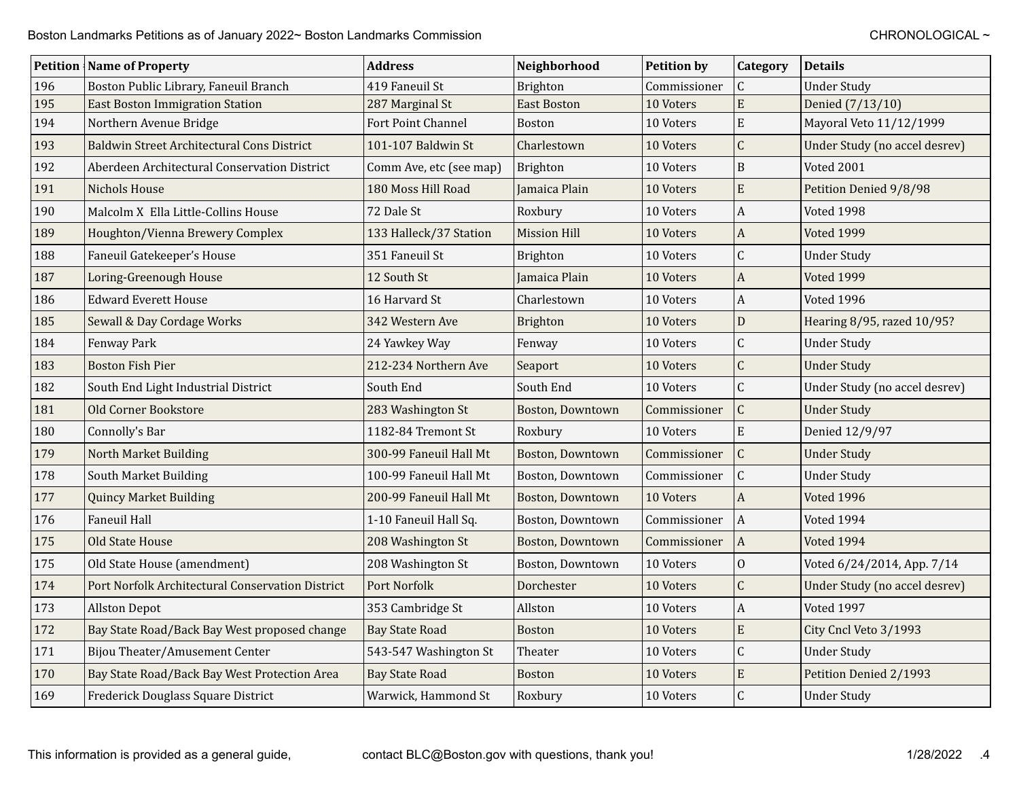|     | <b>Petition Name of Property</b>                  | <b>Address</b>          | Neighborhood        | <b>Petition by</b> | <b>Category</b>  | <b>Details</b>                |
|-----|---------------------------------------------------|-------------------------|---------------------|--------------------|------------------|-------------------------------|
| 196 | Boston Public Library, Faneuil Branch             | 419 Faneuil St          | Brighton            | Commissioner       | $\mathsf{C}$     | <b>Under Study</b>            |
| 195 | <b>East Boston Immigration Station</b>            | 287 Marginal St         | <b>East Boston</b>  | 10 Voters          | E                | Denied (7/13/10)              |
| 194 | Northern Avenue Bridge                            | Fort Point Channel      | <b>Boston</b>       | 10 Voters          | E                | Mayoral Veto 11/12/1999       |
| 193 | <b>Baldwin Street Architectural Cons District</b> | 101-107 Baldwin St      | Charlestown         | 10 Voters          | $\mathsf C$      | Under Study (no accel desrev) |
| 192 | Aberdeen Architectural Conservation District      | Comm Ave, etc (see map) | Brighton            | 10 Voters          | $\mathbf B$      | Voted 2001                    |
| 191 | <b>Nichols House</b>                              | 180 Moss Hill Road      | Jamaica Plain       | 10 Voters          | ${\bf E}$        | Petition Denied 9/8/98        |
| 190 | Malcolm X Ella Little-Collins House               | 72 Dale St              | Roxbury             | 10 Voters          | $\boldsymbol{A}$ | Voted 1998                    |
| 189 | Houghton/Vienna Brewery Complex                   | 133 Halleck/37 Station  | <b>Mission Hill</b> | 10 Voters          | $\boldsymbol{A}$ | Voted 1999                    |
| 188 | Faneuil Gatekeeper's House                        | 351 Faneuil St          | <b>Brighton</b>     | 10 Voters          | $\mathsf C$      | <b>Under Study</b>            |
| 187 | Loring-Greenough House                            | 12 South St             | Jamaica Plain       | 10 Voters          | $\boldsymbol{A}$ | <b>Voted 1999</b>             |
| 186 | <b>Edward Everett House</b>                       | 16 Harvard St           | Charlestown         | 10 Voters          | $\boldsymbol{A}$ | <b>Voted 1996</b>             |
| 185 | Sewall & Day Cordage Works                        | 342 Western Ave         | Brighton            | 10 Voters          | D                | Hearing 8/95, razed 10/95?    |
| 184 | Fenway Park                                       | 24 Yawkey Way           | Fenway              | 10 Voters          | $\mathsf C$      | <b>Under Study</b>            |
| 183 | <b>Boston Fish Pier</b>                           | 212-234 Northern Ave    | Seaport             | 10 Voters          | $\overline{C}$   | <b>Under Study</b>            |
| 182 | South End Light Industrial District               | South End               | South End           | 10 Voters          | $\mathsf C$      | Under Study (no accel desrev) |
| 181 | <b>Old Corner Bookstore</b>                       | 283 Washington St       | Boston, Downtown    | Commissioner       | $\mathsf{C}$     | <b>Under Study</b>            |
| 180 | Connolly's Bar                                    | 1182-84 Tremont St      | Roxbury             | 10 Voters          | ${\bf E}$        | Denied 12/9/97                |
| 179 | North Market Building                             | 300-99 Faneuil Hall Mt  | Boston, Downtown    | Commissioner       | $\mathsf{C}$     | <b>Under Study</b>            |
| 178 | South Market Building                             | 100-99 Faneuil Hall Mt  | Boston, Downtown    | Commissioner       | $\mathsf{C}$     | <b>Under Study</b>            |
| 177 | <b>Quincy Market Building</b>                     | 200-99 Faneuil Hall Mt  | Boston, Downtown    | 10 Voters          | $\boldsymbol{A}$ | <b>Voted 1996</b>             |
| 176 | Faneuil Hall                                      | 1-10 Faneuil Hall Sq.   | Boston, Downtown    | Commissioner       | $\vert$ A        | Voted 1994                    |
| 175 | <b>Old State House</b>                            | 208 Washington St       | Boston, Downtown    | Commissioner       | $\vert$ A        | Voted 1994                    |
| 175 | Old State House (amendment)                       | 208 Washington St       | Boston, Downtown    | 10 Voters          | $\mathbf{O}$     | Voted 6/24/2014, App. 7/14    |
| 174 | Port Norfolk Architectural Conservation District  | Port Norfolk            | Dorchester          | 10 Voters          | $\overline{C}$   | Under Study (no accel desrev) |
| 173 | <b>Allston Depot</b>                              | 353 Cambridge St        | Allston             | 10 Voters          | $\boldsymbol{A}$ | Voted 1997                    |
| 172 | Bay State Road/Back Bay West proposed change      | <b>Bay State Road</b>   | Boston              | 10 Voters          | $\mathbf E$      | City Cncl Veto 3/1993         |
| 171 | Bijou Theater/Amusement Center                    | 543-547 Washington St   | Theater             | 10 Voters          | $\overline{C}$   | <b>Under Study</b>            |
| 170 | Bay State Road/Back Bay West Protection Area      | <b>Bay State Road</b>   | Boston              | 10 Voters          | $\mathbf E$      | Petition Denied 2/1993        |
| 169 | Frederick Douglass Square District                | Warwick, Hammond St     | Roxbury             | 10 Voters          | $\mathsf{C}$     | <b>Under Study</b>            |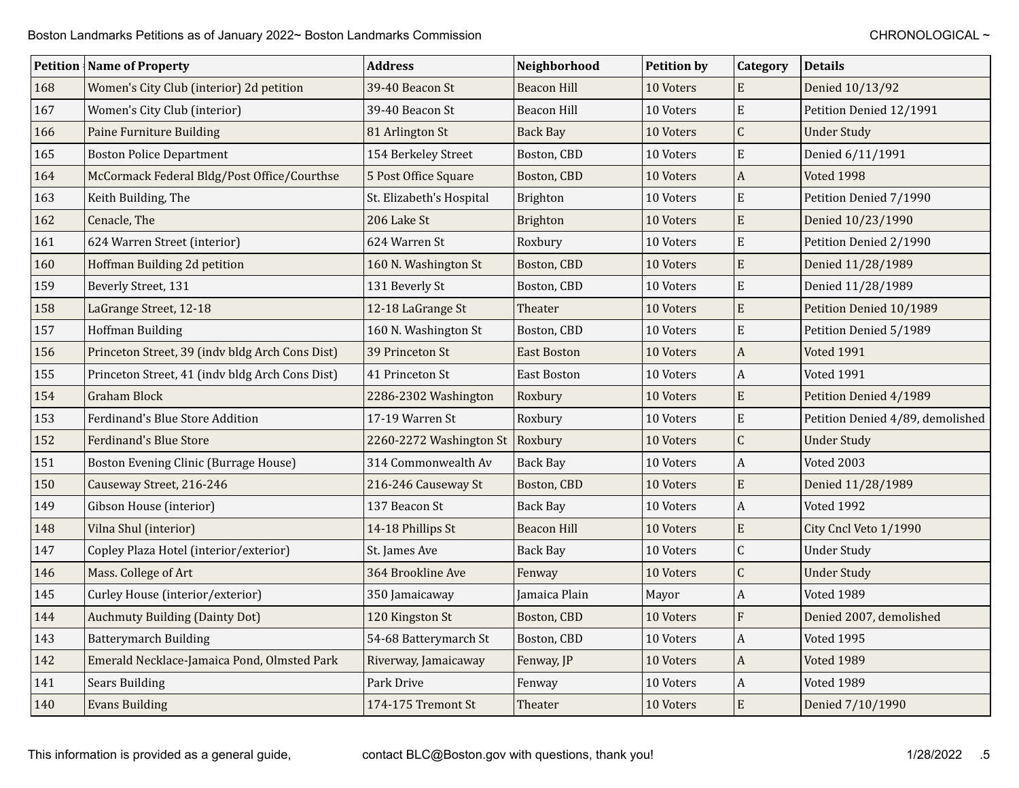|     | <b>Petition Name of Property</b>                | <b>Address</b>           | Neighborhood       | <b>Petition by</b> | Category         | <b>Details</b>                   |
|-----|-------------------------------------------------|--------------------------|--------------------|--------------------|------------------|----------------------------------|
| 168 | Women's City Club (interior) 2d petition        | 39-40 Beacon St          | <b>Beacon Hill</b> | 10 Voters          | E                | Denied 10/13/92                  |
| 167 | Women's City Club (interior)                    | 39-40 Beacon St          | Beacon Hill        | 10 Voters          | E                | Petition Denied 12/1991          |
| 166 | Paine Furniture Building                        | 81 Arlington St          | <b>Back Bay</b>    | 10 Voters          | $\overline{C}$   | <b>Under Study</b>               |
| 165 | <b>Boston Police Department</b>                 | 154 Berkeley Street      | Boston, CBD        | 10 Voters          | E                | Denied 6/11/1991                 |
| 164 | McCormack Federal Bldg/Post Office/Courthse     | 5 Post Office Square     | Boston, CBD        | 10 Voters          | $\mathbf{A}$     | Voted 1998                       |
| 163 | Keith Building, The                             | St. Elizabeth's Hospital | <b>Brighton</b>    | 10 Voters          | E                | Petition Denied 7/1990           |
| 162 | Cenacle, The                                    | 206 Lake St              | <b>Brighton</b>    | 10 Voters          | E                | Denied 10/23/1990                |
| 161 | 624 Warren Street (interior)                    | 624 Warren St            | Roxbury            | 10 Voters          | E                | Petition Denied 2/1990           |
| 160 | Hoffman Building 2d petition                    | 160 N. Washington St     | Boston, CBD        | 10 Voters          | E                | Denied 11/28/1989                |
| 159 | Beverly Street, 131                             | 131 Beverly St           | Boston, CBD        | 10 Voters          | E                | Denied 11/28/1989                |
| 158 | LaGrange Street, 12-18                          | 12-18 LaGrange St        | Theater            | 10 Voters          | E                | Petition Denied 10/1989          |
| 157 | <b>Hoffman Building</b>                         | 160 N. Washington St     | Boston, CBD        | 10 Voters          | E                | Petition Denied 5/1989           |
| 156 | Princeton Street, 39 (indv bldg Arch Cons Dist) | 39 Princeton St          | <b>East Boston</b> | 10 Voters          | $\mathbf{A}$     | <b>Voted 1991</b>                |
| 155 | Princeton Street, 41 (indv bldg Arch Cons Dist) | 41 Princeton St          | East Boston        | 10 Voters          | $\boldsymbol{A}$ | <b>Voted 1991</b>                |
| 154 | <b>Graham Block</b>                             | 2286-2302 Washington     | Roxbury            | 10 Voters          | E                | Petition Denied 4/1989           |
| 153 | Ferdinand's Blue Store Addition                 | 17-19 Warren St          | Roxbury            | 10 Voters          | E                | Petition Denied 4/89, demolished |
| 152 | Ferdinand's Blue Store                          | 2260-2272 Washington St  | Roxbury            | 10 Voters          | C                | <b>Under Study</b>               |
| 151 | Boston Evening Clinic (Burrage House)           | 314 Commonwealth Av      | Back Bay           | 10 Voters          | A                | Voted 2003                       |
| 150 | Causeway Street, 216-246                        | 216-246 Causeway St      | Boston, CBD        | 10 Voters          | E                | Denied 11/28/1989                |
| 149 | Gibson House (interior)                         | 137 Beacon St            | <b>Back Bay</b>    | 10 Voters          | A                | Voted 1992                       |
| 148 | Vilna Shul (interior)                           | 14-18 Phillips St        | <b>Beacon Hill</b> | 10 Voters          | E                | City Cncl Veto 1/1990            |
| 147 | Copley Plaza Hotel (interior/exterior)          | St. James Ave            | <b>Back Bay</b>    | 10 Voters          | $\overline{C}$   | <b>Under Study</b>               |
| 146 | Mass. College of Art                            | 364 Brookline Ave        | Fenway             | 10 Voters          | C                | <b>Under Study</b>               |
| 145 | Curley House (interior/exterior)                | 350 Jamaicaway           | Jamaica Plain      | Mayor              | A                | Voted 1989                       |
| 144 | <b>Auchmuty Building (Dainty Dot)</b>           | 120 Kingston St          | Boston, CBD        | 10 Voters          | $\overline{F}$   | Denied 2007, demolished          |
| 143 | <b>Batterymarch Building</b>                    | 54-68 Batterymarch St    | Boston, CBD        | 10 Voters          | $\boldsymbol{A}$ | Voted 1995                       |
| 142 | Emerald Necklace-Jamaica Pond, Olmsted Park     | Riverway, Jamaicaway     | Fenway, JP         | 10 Voters          | $\mathbf{A}$     | Voted 1989                       |
| 141 | <b>Sears Building</b>                           | Park Drive               | Fenway             | 10 Voters          | A                | Voted 1989                       |
| 140 | <b>Evans Building</b>                           | 174-175 Tremont St       | Theater            | 10 Voters          | E                | Denied 7/10/1990                 |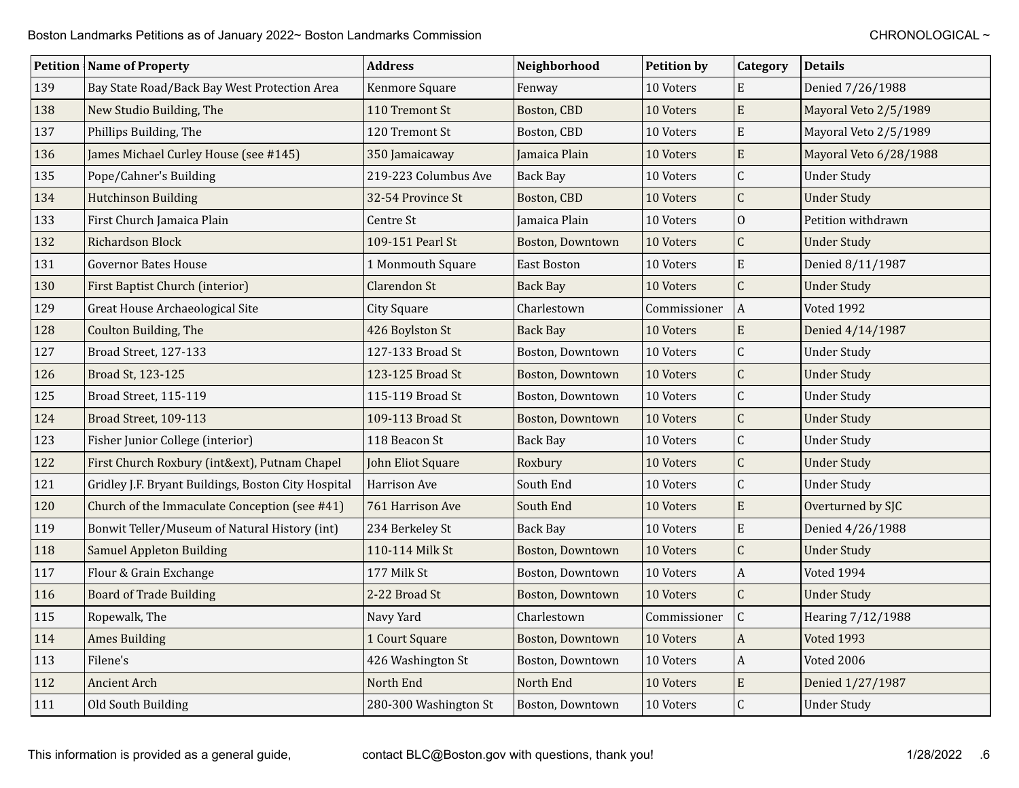|     | <b>Petition   Name of Property</b>                  | <b>Address</b>        | Neighborhood            | <b>Petition by</b> | Category         | <b>Details</b>         |
|-----|-----------------------------------------------------|-----------------------|-------------------------|--------------------|------------------|------------------------|
| 139 | Bay State Road/Back Bay West Protection Area        | Kenmore Square        | Fenway                  | 10 Voters          | E                | Denied 7/26/1988       |
| 138 | New Studio Building, The                            | 110 Tremont St        | Boston, CBD             | 10 Voters          | E                | Mayoral Veto 2/5/1989  |
| 137 | Phillips Building, The                              | 120 Tremont St        | Boston, CBD             | 10 Voters          | E                | Mayoral Veto 2/5/1989  |
| 136 | James Michael Curley House (see #145)               | 350 Jamaicaway        | Jamaica Plain           | 10 Voters          | $\mathbf E$      | Mayoral Veto 6/28/1988 |
| 135 | Pope/Cahner's Building                              | 219-223 Columbus Ave  | <b>Back Bay</b>         | 10 Voters          | $\mathsf C$      | <b>Under Study</b>     |
| 134 | <b>Hutchinson Building</b>                          | 32-54 Province St     | Boston, CBD             | 10 Voters          | $\mathsf{C}$     | <b>Under Study</b>     |
| 133 | First Church Jamaica Plain                          | Centre St             | Jamaica Plain           | 10 Voters          | $\mathbf{O}$     | Petition withdrawn     |
| 132 | Richardson Block                                    | 109-151 Pearl St      | Boston, Downtown        | 10 Voters          | $\mathsf C$      | <b>Under Study</b>     |
| 131 | <b>Governor Bates House</b>                         | 1 Monmouth Square     | <b>East Boston</b>      | 10 Voters          | E                | Denied 8/11/1987       |
| 130 | First Baptist Church (interior)                     | <b>Clarendon St</b>   | <b>Back Bay</b>         | 10 Voters          | $\mathsf{C}$     | <b>Under Study</b>     |
| 129 | Great House Archaeological Site                     | <b>City Square</b>    | Charlestown             | Commissioner       | $\vert$ A        | Voted 1992             |
| 128 | Coulton Building, The                               | 426 Boylston St       | <b>Back Bay</b>         | 10 Voters          | E                | Denied 4/14/1987       |
| 127 | Broad Street, 127-133                               | 127-133 Broad St      | Boston, Downtown        | 10 Voters          | $\overline{C}$   | <b>Under Study</b>     |
| 126 | Broad St, 123-125                                   | 123-125 Broad St      | Boston, Downtown        | 10 Voters          | $\mathsf C$      | <b>Under Study</b>     |
| 125 | Broad Street, 115-119                               | 115-119 Broad St      | Boston, Downtown        | 10 Voters          | $\overline{C}$   | <b>Under Study</b>     |
| 124 | Broad Street, 109-113                               | 109-113 Broad St      | Boston, Downtown        | 10 Voters          | $\mathsf{C}$     | <b>Under Study</b>     |
| 123 | Fisher Junior College (interior)                    | 118 Beacon St         | <b>Back Bay</b>         | 10 Voters          | $\mathsf C$      | <b>Under Study</b>     |
| 122 | First Church Roxbury (int&ext), Putnam Chapel       | John Eliot Square     | Roxbury                 | 10 Voters          | $\mathsf C$      | <b>Under Study</b>     |
| 121 | Gridley J.F. Bryant Buildings, Boston City Hospital | Harrison Ave          | South End               | 10 Voters          | $\overline{C}$   | <b>Under Study</b>     |
| 120 | Church of the Immaculate Conception (see #41)       | 761 Harrison Ave      | South End               | 10 Voters          | E                | Overturned by SJC      |
| 119 | Bonwit Teller/Museum of Natural History (int)       | 234 Berkeley St       | Back Bay                | 10 Voters          | ${\bf E}$        | Denied 4/26/1988       |
| 118 | <b>Samuel Appleton Building</b>                     | 110-114 Milk St       | <b>Boston, Downtown</b> | 10 Voters          | $\overline{C}$   | <b>Under Study</b>     |
| 117 | Flour & Grain Exchange                              | 177 Milk St           | Boston, Downtown        | 10 Voters          | $\boldsymbol{A}$ | Voted 1994             |
| 116 | <b>Board of Trade Building</b>                      | 2-22 Broad St         | Boston, Downtown        | 10 Voters          | $\mathsf C$      | <b>Under Study</b>     |
| 115 | Ropewalk, The                                       | Navy Yard             | Charlestown             | Commissioner       | $\mathsf{C}$     | Hearing 7/12/1988      |
| 114 | <b>Ames Building</b>                                | 1 Court Square        | <b>Boston, Downtown</b> | 10 Voters          | $\mathbf{A}$     | <b>Voted 1993</b>      |
| 113 | Filene's                                            | 426 Washington St     | Boston, Downtown        | 10 Voters          | $\boldsymbol{A}$ | Voted 2006             |
| 112 | <b>Ancient Arch</b>                                 | North End             | North End               | 10 Voters          | $\mathbf E$      | Denied 1/27/1987       |
| 111 | Old South Building                                  | 280-300 Washington St | Boston, Downtown        | 10 Voters          | $\mathsf C$      | <b>Under Study</b>     |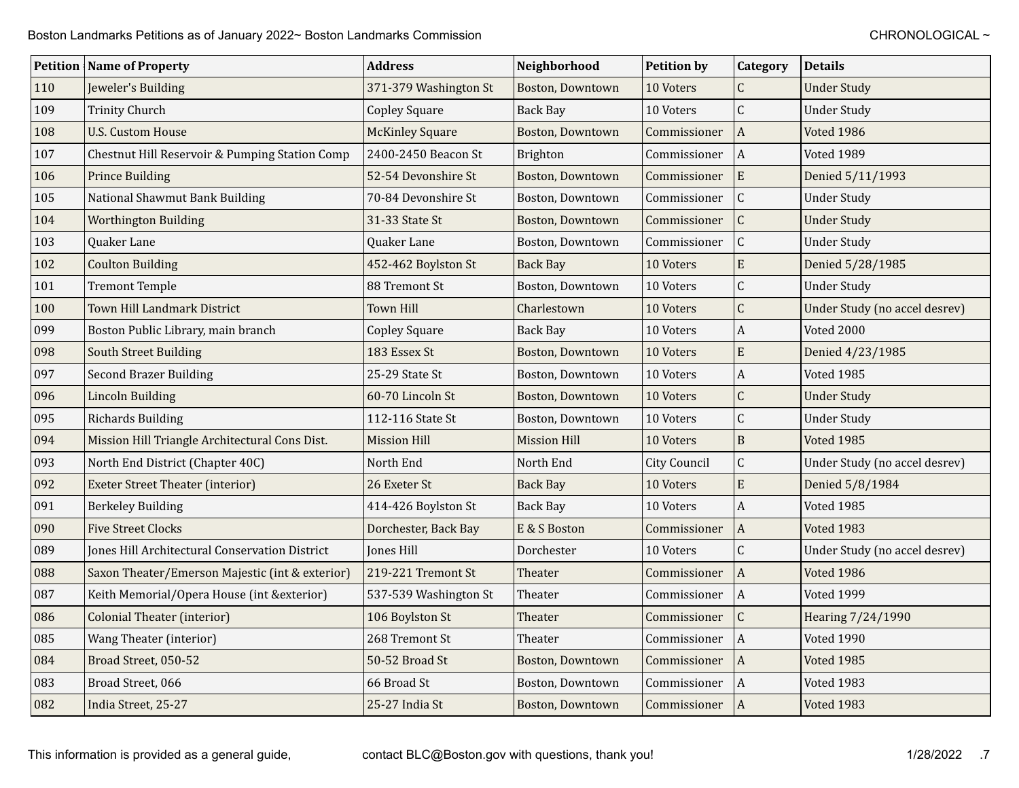|     | <b>Petition   Name of Property</b>              | <b>Address</b>         | Neighborhood            | <b>Petition by</b>  | Category         | <b>Details</b>                |
|-----|-------------------------------------------------|------------------------|-------------------------|---------------------|------------------|-------------------------------|
| 110 | Jeweler's Building                              | 371-379 Washington St  | Boston, Downtown        | 10 Voters           | C                | <b>Under Study</b>            |
| 109 | <b>Trinity Church</b>                           | <b>Copley Square</b>   | <b>Back Bay</b>         | 10 Voters           | $\mathsf C$      | <b>Under Study</b>            |
| 108 | <b>U.S. Custom House</b>                        | <b>McKinley Square</b> | Boston, Downtown        | Commissioner        | $\vert$ A        | Voted 1986                    |
| 107 | Chestnut Hill Reservoir & Pumping Station Comp  | 2400-2450 Beacon St    | Brighton                | Commissioner        | $\vert$ A        | Voted 1989                    |
| 106 | <b>Prince Building</b>                          | 52-54 Devonshire St    | Boston, Downtown        | Commissioner        | ${\bf E}$        | Denied 5/11/1993              |
| 105 | National Shawmut Bank Building                  | 70-84 Devonshire St    | Boston, Downtown        | Commissioner        | $\mathsf C$      | <b>Under Study</b>            |
| 104 | <b>Worthington Building</b>                     | 31-33 State St         | Boston, Downtown        | Commissioner        | $\mathsf C$      | <b>Under Study</b>            |
| 103 | Quaker Lane                                     | Quaker Lane            | Boston, Downtown        | Commissioner        | $\mathsf C$      | <b>Under Study</b>            |
| 102 | <b>Coulton Building</b>                         | 452-462 Boylston St    | <b>Back Bay</b>         | 10 Voters           | ${\bf E}$        | Denied 5/28/1985              |
| 101 | <b>Tremont Temple</b>                           | 88 Tremont St          | Boston, Downtown        | 10 Voters           | $\mathsf C$      | <b>Under Study</b>            |
| 100 | Town Hill Landmark District                     | Town Hill              | Charlestown             | 10 Voters           | $\mathsf{C}$     | Under Study (no accel desrev) |
| 099 | Boston Public Library, main branch              | <b>Copley Square</b>   | <b>Back Bay</b>         | 10 Voters           | $\boldsymbol{A}$ | Voted 2000                    |
| 098 | <b>South Street Building</b>                    | 183 Essex St           | <b>Boston, Downtown</b> | 10 Voters           | ${\bf E}$        | Denied 4/23/1985              |
| 097 | <b>Second Brazer Building</b>                   | 25-29 State St         | Boston, Downtown        | 10 Voters           | $\boldsymbol{A}$ | Voted 1985                    |
| 096 | <b>Lincoln Building</b>                         | 60-70 Lincoln St       | Boston, Downtown        | 10 Voters           | $\mathsf{C}$     | <b>Under Study</b>            |
| 095 | <b>Richards Building</b>                        | 112-116 State St       | Boston, Downtown        | 10 Voters           | $\mathsf C$      | <b>Under Study</b>            |
| 094 | Mission Hill Triangle Architectural Cons Dist.  | <b>Mission Hill</b>    | Mission Hill            | 10 Voters           | $\overline{B}$   | <b>Voted 1985</b>             |
| 093 | North End District (Chapter 40C)                | North End              | North End               | <b>City Council</b> | $\mathsf C$      | Under Study (no accel desrev) |
| 092 | <b>Exeter Street Theater (interior)</b>         | 26 Exeter St           | <b>Back Bay</b>         | 10 Voters           | ${\bf E}$        | Denied 5/8/1984               |
| 091 | <b>Berkeley Building</b>                        | 414-426 Boylston St    | <b>Back Bay</b>         | 10 Voters           | $\boldsymbol{A}$ | Voted 1985                    |
| 090 | <b>Five Street Clocks</b>                       | Dorchester, Back Bay   | E & S Boston            | Commissioner        | $\vert$ A        | Voted 1983                    |
| 089 | Jones Hill Architectural Conservation District  | Jones Hill             | Dorchester              | 10 Voters           | $\mathsf C$      | Under Study (no accel desrev) |
| 088 | Saxon Theater/Emerson Majestic (int & exterior) | 219-221 Tremont St     | Theater                 | Commissioner        | $\vert$ A        | Voted 1986                    |
| 087 | Keith Memorial/Opera House (int & exterior)     | 537-539 Washington St  | Theater                 | Commissioner        | $\vert$ A        | Voted 1999                    |
| 086 | <b>Colonial Theater (interior)</b>              | 106 Boylston St        | Theater                 | Commissioner        | $\mathsf C$      | Hearing 7/24/1990             |
| 085 | Wang Theater (interior)                         | 268 Tremont St         | Theater                 | Commissioner        | A                | Voted 1990                    |
| 084 | Broad Street, 050-52                            | 50-52 Broad St         | Boston, Downtown        | Commissioner        | A                | <b>Voted 1985</b>             |
| 083 | Broad Street, 066                               | 66 Broad St            | Boston, Downtown        | Commissioner        | $\vert$ A        | Voted 1983                    |
| 082 | India Street, 25-27                             | 25-27 India St         | Boston, Downtown        | Commissioner        | A                | <b>Voted 1983</b>             |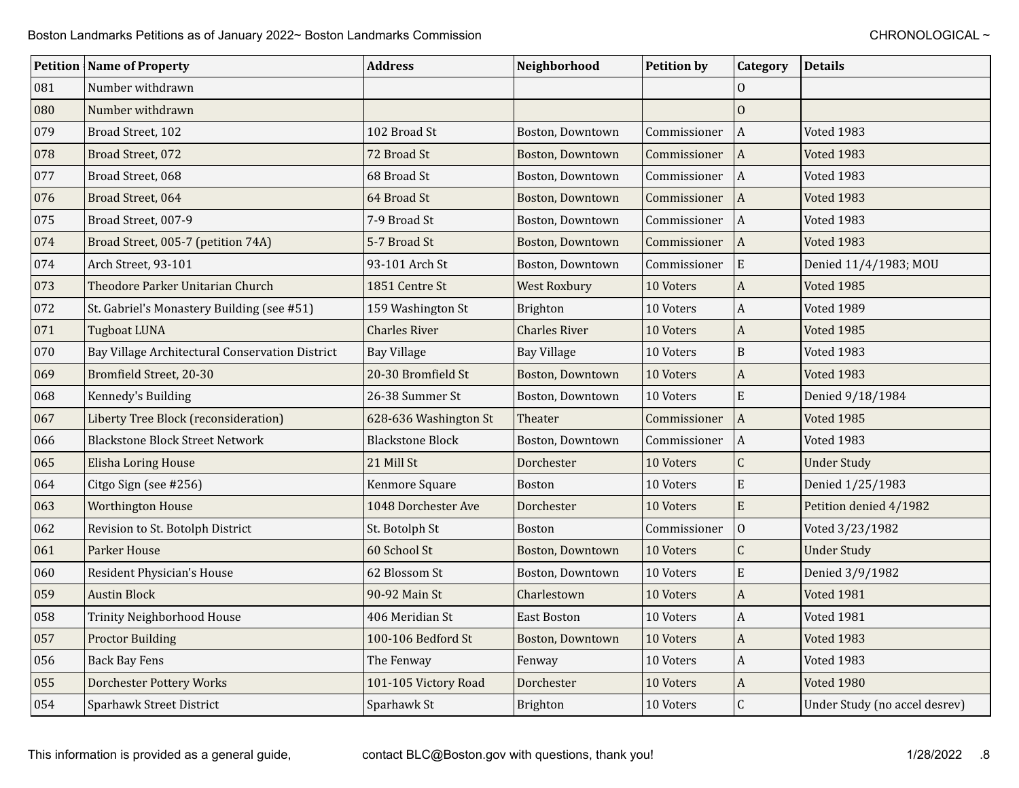|     | <b>Petition Name of Property</b>                | <b>Address</b>          | Neighborhood            | <b>Petition by</b> | Category              | <b>Details</b>                |
|-----|-------------------------------------------------|-------------------------|-------------------------|--------------------|-----------------------|-------------------------------|
| 081 | Number withdrawn                                |                         |                         |                    | $\Omega$              |                               |
| 080 | Number withdrawn                                |                         |                         |                    | $\mathbf{0}$          |                               |
| 079 | Broad Street, 102                               | 102 Broad St            | Boston, Downtown        | Commissioner       | $\overline{A}$        | Voted 1983                    |
| 078 | Broad Street, 072                               | 72 Broad St             | <b>Boston, Downtown</b> | Commissioner       | $\vert$ A             | Voted 1983                    |
| 077 | Broad Street, 068                               | 68 Broad St             | Boston, Downtown        | Commissioner       | $\vert$ A             | Voted 1983                    |
| 076 | Broad Street, 064                               | 64 Broad St             | <b>Boston, Downtown</b> | Commissioner       | $\boldsymbol{A}$      | <b>Voted 1983</b>             |
| 075 | Broad Street, 007-9                             | 7-9 Broad St            | Boston, Downtown        | Commissioner       | $\vert$ A             | Voted 1983                    |
| 074 | Broad Street, 005-7 (petition 74A)              | 5-7 Broad St            | <b>Boston, Downtown</b> | Commissioner       | $\vert$ A             | Voted 1983                    |
| 074 | Arch Street, 93-101                             | 93-101 Arch St          | Boston, Downtown        | Commissioner       | ${\bf E}$             | Denied 11/4/1983; MOU         |
| 073 | Theodore Parker Unitarian Church                | 1851 Centre St          | <b>West Roxbury</b>     | 10 Voters          | $\boldsymbol{A}$      | Voted 1985                    |
| 072 | St. Gabriel's Monastery Building (see #51)      | 159 Washington St       | <b>Brighton</b>         | 10 Voters          | A                     | Voted 1989                    |
| 071 | <b>Tugboat LUNA</b>                             | <b>Charles River</b>    | <b>Charles River</b>    | 10 Voters          | $\boldsymbol{A}$      | Voted 1985                    |
| 070 | Bay Village Architectural Conservation District | <b>Bay Village</b>      | <b>Bay Village</b>      | 10 Voters          | $\mathbf B$           | Voted 1983                    |
| 069 | Bromfield Street, 20-30                         | 20-30 Bromfield St      | Boston, Downtown        | 10 Voters          | $\boldsymbol{A}$      | Voted 1983                    |
| 068 | Kennedy's Building                              | 26-38 Summer St         | Boston, Downtown        | 10 Voters          | E                     | Denied 9/18/1984              |
| 067 | Liberty Tree Block (reconsideration)            | 628-636 Washington St   | Theater                 | Commissioner       | $\overline{A}$        | Voted 1985                    |
| 066 | <b>Blackstone Block Street Network</b>          | <b>Blackstone Block</b> | Boston, Downtown        | Commissioner       | $\overline{A}$        | Voted 1983                    |
| 065 | Elisha Loring House                             | 21 Mill St              | Dorchester              | 10 Voters          | $\mathsf C$           | <b>Under Study</b>            |
| 064 | Citgo Sign (see #256)                           | Kenmore Square          | <b>Boston</b>           | 10 Voters          | $\mathbf E$           | Denied 1/25/1983              |
| 063 | <b>Worthington House</b>                        | 1048 Dorchester Ave     | Dorchester              | 10 Voters          | ${\bf E}$             | Petition denied 4/1982        |
| 062 | Revision to St. Botolph District                | St. Botolph St          | <b>Boston</b>           | Commissioner       | $\overline{0}$        | Voted 3/23/1982               |
| 061 | Parker House                                    | 60 School St            | Boston, Downtown        | 10 Voters          | $\mathsf C$           | <b>Under Study</b>            |
| 060 | Resident Physician's House                      | 62 Blossom St           | Boston, Downtown        | 10 Voters          | $\mathbf E$           | Denied 3/9/1982               |
| 059 | <b>Austin Block</b>                             | 90-92 Main St           | Charlestown             | 10 Voters          | $\boldsymbol{A}$      | <b>Voted 1981</b>             |
| 058 | Trinity Neighborhood House                      | 406 Meridian St         | <b>East Boston</b>      | 10 Voters          | $\boldsymbol{A}$      | Voted 1981                    |
| 057 | <b>Proctor Building</b>                         | 100-106 Bedford St      | <b>Boston, Downtown</b> | 10 Voters          | $\mathbf{A}$          | Voted 1983                    |
| 056 | <b>Back Bay Fens</b>                            | The Fenway              | Fenway                  | 10 Voters          | $\boldsymbol{A}$      | Voted 1983                    |
| 055 | <b>Dorchester Pottery Works</b>                 | 101-105 Victory Road    | Dorchester              | 10 Voters          | $\boldsymbol{\rm{A}}$ | Voted 1980                    |
| 054 | Sparhawk Street District                        | Sparhawk St             | Brighton                | 10 Voters          | $\mathsf C$           | Under Study (no accel desrev) |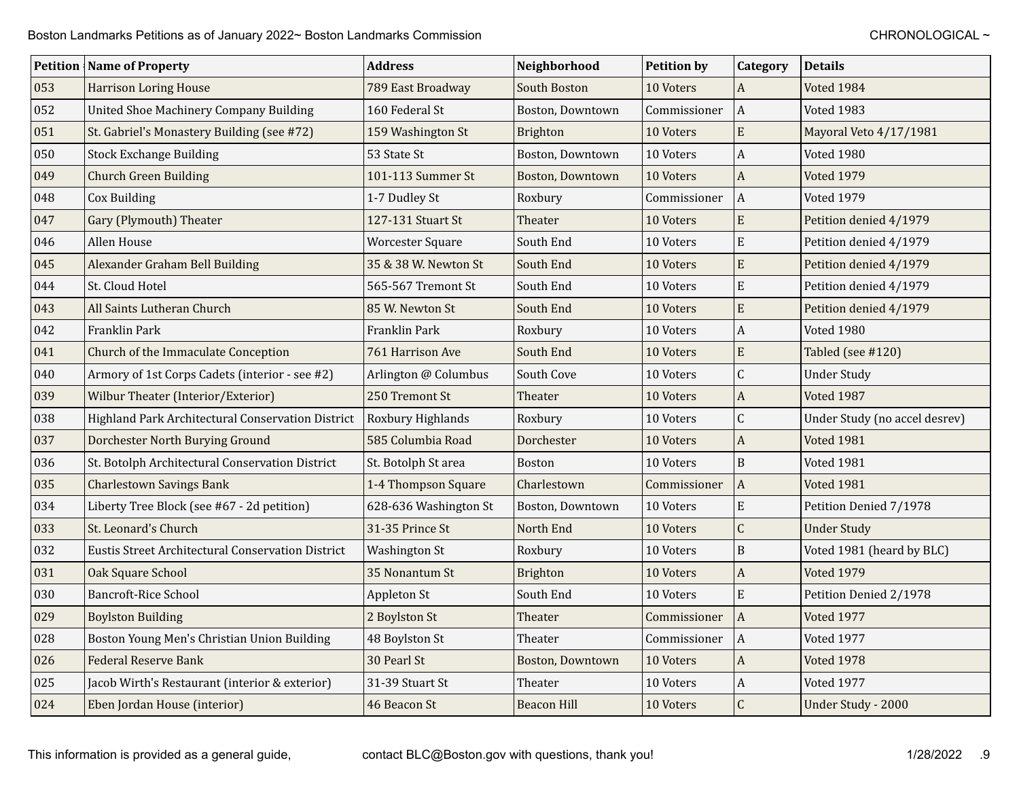|     | <b>Petition   Name of Property</b>                | <b>Address</b>          | Neighborhood       | <b>Petition by</b> | Category         | <b>Details</b>                |
|-----|---------------------------------------------------|-------------------------|--------------------|--------------------|------------------|-------------------------------|
| 053 | <b>Harrison Loring House</b>                      | 789 East Broadway       | South Boston       | 10 Voters          | $\mathbf{A}$     | Voted 1984                    |
| 052 | <b>United Shoe Machinery Company Building</b>     | 160 Federal St          | Boston, Downtown   | Commissioner       | $\overline{A}$   | Voted 1983                    |
| 051 | St. Gabriel's Monastery Building (see #72)        | 159 Washington St       | Brighton           | 10 Voters          | E                | Mayoral Veto 4/17/1981        |
| 050 | <b>Stock Exchange Building</b>                    | 53 State St             | Boston, Downtown   | 10 Voters          | A                | Voted 1980                    |
| 049 | <b>Church Green Building</b>                      | 101-113 Summer St       | Boston, Downtown   | 10 Voters          | $\boldsymbol{A}$ | <b>Voted 1979</b>             |
| 048 | Cox Building                                      | 1-7 Dudley St           | Roxbury            | Commissioner       | $\Lambda$        | Voted 1979                    |
| 047 | Gary (Plymouth) Theater                           | 127-131 Stuart St       | Theater            | 10 Voters          | E                | Petition denied 4/1979        |
| 046 | Allen House                                       | <b>Worcester Square</b> | South End          | 10 Voters          | ${\bf E}$        | Petition denied 4/1979        |
| 045 | Alexander Graham Bell Building                    | 35 & 38 W. Newton St    | South End          | 10 Voters          | E                | Petition denied 4/1979        |
| 044 | St. Cloud Hotel                                   | 565-567 Tremont St      | South End          | 10 Voters          | ${\bf E}$        | Petition denied 4/1979        |
| 043 | All Saints Lutheran Church                        | 85 W. Newton St         | South End          | 10 Voters          | E                | Petition denied 4/1979        |
| 042 | Franklin Park                                     | Franklin Park           | Roxbury            | 10 Voters          | A                | Voted 1980                    |
| 041 | Church of the Immaculate Conception               | 761 Harrison Ave        | South End          | 10 Voters          | E                | Tabled (see #120)             |
| 040 | Armory of 1st Corps Cadets (interior - see #2)    | Arlington @ Columbus    | South Cove         | 10 Voters          | C                | <b>Under Study</b>            |
| 039 | Wilbur Theater (Interior/Exterior)                | 250 Tremont St          | Theater            | 10 Voters          | A                | Voted 1987                    |
| 038 | Highland Park Architectural Conservation District | Roxbury Highlands       | Roxbury            | 10 Voters          | $\overline{C}$   | Under Study (no accel desrev) |
| 037 | Dorchester North Burying Ground                   | 585 Columbia Road       | Dorchester         | 10 Voters          | $\boldsymbol{A}$ | <b>Voted 1981</b>             |
| 036 | St. Botolph Architectural Conservation District   | St. Botolph St area     | <b>Boston</b>      | 10 Voters          | B                | Voted 1981                    |
| 035 | <b>Charlestown Savings Bank</b>                   | 1-4 Thompson Square     | Charlestown        | Commissioner       | $\overline{A}$   | <b>Voted 1981</b>             |
| 034 | Liberty Tree Block (see #67 - 2d petition)        | 628-636 Washington St   | Boston, Downtown   | 10 Voters          | E                | Petition Denied 7/1978        |
| 033 | St. Leonard's Church                              | 31-35 Prince St         | North End          | 10 Voters          | $\mathsf C$      | <b>Under Study</b>            |
| 032 | Eustis Street Architectural Conservation District | <b>Washington St</b>    | Roxbury            | 10 Voters          | B                | Voted 1981 (heard by BLC)     |
| 031 | Oak Square School                                 | 35 Nonantum St          | Brighton           | 10 Voters          | A                | <b>Voted 1979</b>             |
| 030 | <b>Bancroft-Rice School</b>                       | Appleton St             | South End          | 10 Voters          | E                | Petition Denied 2/1978        |
| 029 | <b>Boylston Building</b>                          | 2 Boylston St           | Theater            | Commissioner       | $\overline{A}$   | Voted 1977                    |
| 028 | Boston Young Men's Christian Union Building       | 48 Boylston St          | Theater            | Commissioner       | A                | Voted 1977                    |
| 026 | <b>Federal Reserve Bank</b>                       | 30 Pearl St             | Boston, Downtown   | 10 Voters          | A                | <b>Voted 1978</b>             |
| 025 | Jacob Wirth's Restaurant (interior & exterior)    | 31-39 Stuart St         | Theater            | 10 Voters          | A                | Voted 1977                    |
| 024 | Eben Jordan House (interior)                      | 46 Beacon St            | <b>Beacon Hill</b> | 10 Voters          | $\mathsf{C}$     | Under Study - 2000            |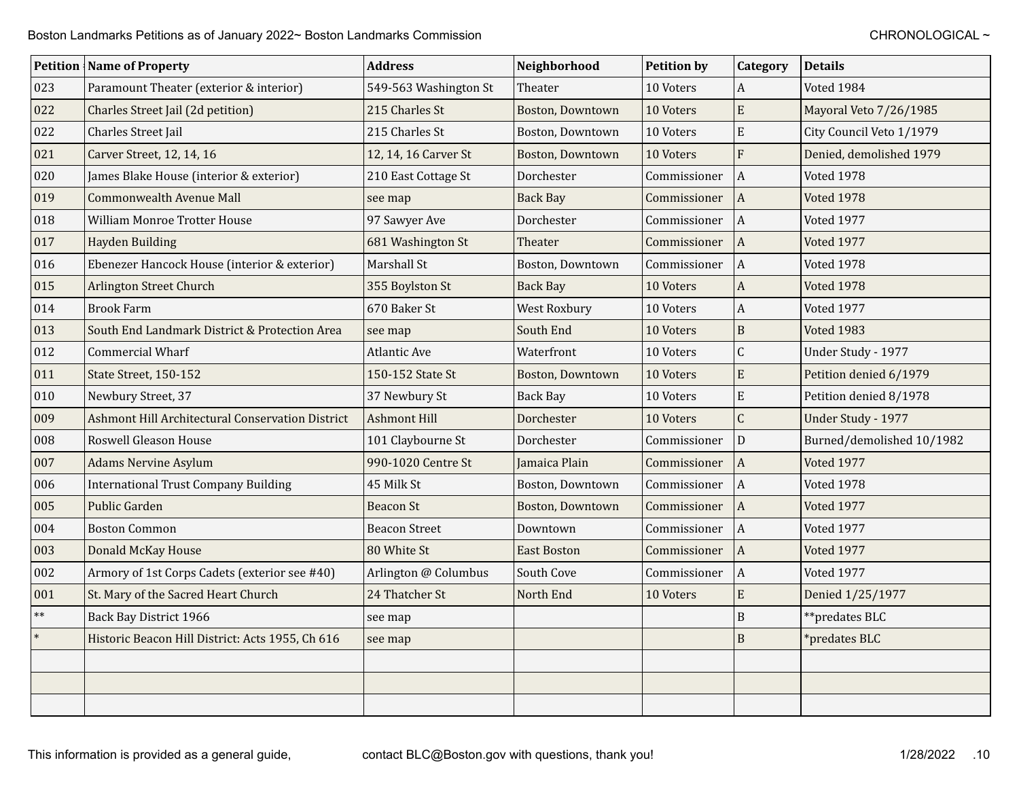|            | <b>Petition   Name of Property</b>               | <b>Address</b>        | Neighborhood       | <b>Petition by</b> | Category         | <b>Details</b>            |
|------------|--------------------------------------------------|-----------------------|--------------------|--------------------|------------------|---------------------------|
| 023        | Paramount Theater (exterior & interior)          | 549-563 Washington St | Theater            | 10 Voters          | $\overline{A}$   | Voted 1984                |
| 022        | Charles Street Jail (2d petition)                | 215 Charles St        | Boston, Downtown   | 10 Voters          | ${\bf E}$        | Mayoral Veto 7/26/1985    |
| 022        | Charles Street Jail                              | 215 Charles St        | Boston, Downtown   | 10 Voters          | ${\bf E}$        | City Council Veto 1/1979  |
| 021        | Carver Street, 12, 14, 16                        | 12, 14, 16 Carver St  | Boston, Downtown   | 10 Voters          | $\overline{F}$   | Denied, demolished 1979   |
| 020        | James Blake House (interior & exterior)          | 210 East Cottage St   | Dorchester         | Commissioner       | $\Lambda$        | <b>Voted 1978</b>         |
| 019        | <b>Commonwealth Avenue Mall</b>                  | see map               | <b>Back Bay</b>    | Commissioner       | $\overline{A}$   | <b>Voted 1978</b>         |
| 018        | William Monroe Trotter House                     | 97 Sawyer Ave         | Dorchester         | Commissioner       | $\overline{A}$   | Voted 1977                |
| 017        | Hayden Building                                  | 681 Washington St     | Theater            | Commissioner       | $\overline{A}$   | Voted 1977                |
| 016        | Ebenezer Hancock House (interior & exterior)     | Marshall St           | Boston, Downtown   | Commissioner       | $\overline{A}$   | <b>Voted 1978</b>         |
| 015        | Arlington Street Church                          | 355 Boylston St       | <b>Back Bay</b>    | 10 Voters          | $\boldsymbol{A}$ | <b>Voted 1978</b>         |
| 014        | <b>Brook Farm</b>                                | 670 Baker St          | West Roxbury       | 10 Voters          | $\boldsymbol{A}$ | Voted 1977                |
| 013        | South End Landmark District & Protection Area    | see map               | South End          | 10 Voters          | $\, {\bf B}$     | <b>Voted 1983</b>         |
| 012        | Commercial Wharf                                 | Atlantic Ave          | Waterfront         | 10 Voters          | $\mathsf C$      | Under Study - 1977        |
| 011        | State Street, 150-152                            | 150-152 State St      | Boston, Downtown   | 10 Voters          | ${\bf E}$        | Petition denied 6/1979    |
| 010        | Newbury Street, 37                               | 37 Newbury St         | <b>Back Bay</b>    | 10 Voters          | ${\bf E}$        | Petition denied 8/1978    |
| 009        | Ashmont Hill Architectural Conservation District | <b>Ashmont Hill</b>   | Dorchester         | 10 Voters          | $\mathsf{C}$     | Under Study - 1977        |
| 008        | Roswell Gleason House                            | 101 Claybourne St     | Dorchester         | Commissioner       | D                | Burned/demolished 10/1982 |
| 007        | <b>Adams Nervine Asylum</b>                      | 990-1020 Centre St    | Jamaica Plain      | Commissioner       | $\vert$ A        | Voted 1977                |
| 006        | <b>International Trust Company Building</b>      | 45 Milk St            | Boston, Downtown   | Commissioner       | $\overline{A}$   | Voted 1978                |
| 005        | <b>Public Garden</b>                             | <b>Beacon St</b>      | Boston, Downtown   | Commissioner       | $\overline{A}$   | <b>Voted 1977</b>         |
| 004        | <b>Boston Common</b>                             | <b>Beacon Street</b>  | Downtown           | Commissioner       | $\Lambda$        | Voted 1977                |
| 003        | Donald McKay House                               | 80 White St           | <b>East Boston</b> | Commissioner       | $\vert$ A        | Voted 1977                |
| 002        | Armory of 1st Corps Cadets (exterior see #40)    | Arlington @ Columbus  | South Cove         | Commissioner       | $\Lambda$        | Voted 1977                |
| 001        | St. Mary of the Sacred Heart Church              | 24 Thatcher St        | North End          | 10 Voters          | ${\bf E}$        | Denied 1/25/1977          |
| $\ast\ast$ | Back Bay District 1966                           | see map               |                    |                    | $\mathbf B$      | **predates BLC            |
| $\ast$     | Historic Beacon Hill District: Acts 1955, Ch 616 | see map               |                    |                    | $\mathbf B$      | *predates BLC             |
|            |                                                  |                       |                    |                    |                  |                           |
|            |                                                  |                       |                    |                    |                  |                           |
|            |                                                  |                       |                    |                    |                  |                           |